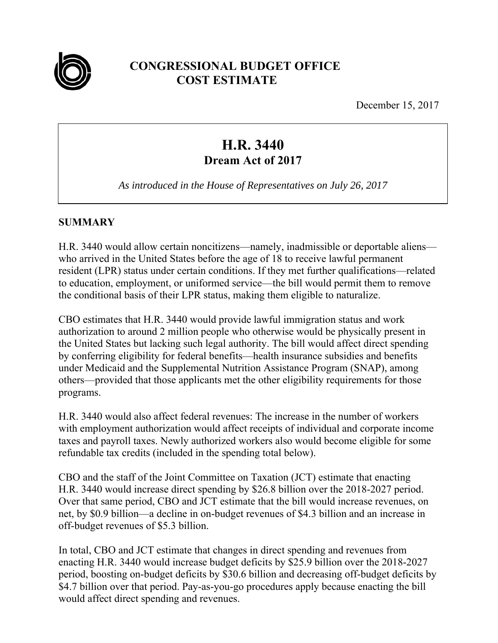

# **CONGRESSIONAL BUDGET OFFICE COST ESTIMATE**

December 15, 2017

# **H.R. 3440 Dream Act of 2017**

*As introduced in the House of Representatives on July 26, 2017* 

## **SUMMARY**

H.R. 3440 would allow certain noncitizens—namely, inadmissible or deportable aliens who arrived in the United States before the age of 18 to receive lawful permanent resident (LPR) status under certain conditions. If they met further qualifications—related to education, employment, or uniformed service—the bill would permit them to remove the conditional basis of their LPR status, making them eligible to naturalize.

CBO estimates that H.R. 3440 would provide lawful immigration status and work authorization to around 2 million people who otherwise would be physically present in the United States but lacking such legal authority. The bill would affect direct spending by conferring eligibility for federal benefits—health insurance subsidies and benefits under Medicaid and the Supplemental Nutrition Assistance Program (SNAP), among others—provided that those applicants met the other eligibility requirements for those programs.

H.R. 3440 would also affect federal revenues: The increase in the number of workers with employment authorization would affect receipts of individual and corporate income taxes and payroll taxes. Newly authorized workers also would become eligible for some refundable tax credits (included in the spending total below).

CBO and the staff of the Joint Committee on Taxation (JCT) estimate that enacting H.R. 3440 would increase direct spending by \$26.8 billion over the 2018-2027 period. Over that same period, CBO and JCT estimate that the bill would increase revenues, on net, by \$0.9 billion—a decline in on-budget revenues of \$4.3 billion and an increase in off-budget revenues of \$5.3 billion.

In total, CBO and JCT estimate that changes in direct spending and revenues from enacting H.R. 3440 would increase budget deficits by \$25.9 billion over the 2018-2027 period, boosting on-budget deficits by \$30.6 billion and decreasing off-budget deficits by \$4.7 billion over that period. Pay-as-you-go procedures apply because enacting the bill would affect direct spending and revenues.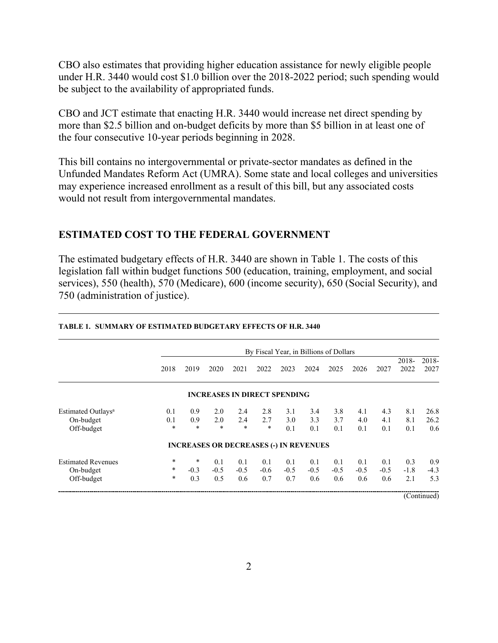CBO also estimates that providing higher education assistance for newly eligible people under H.R. 3440 would cost \$1.0 billion over the 2018-2022 period; such spending would be subject to the availability of appropriated funds.

CBO and JCT estimate that enacting H.R. 3440 would increase net direct spending by more than \$2.5 billion and on-budget deficits by more than \$5 billion in at least one of the four consecutive 10-year periods beginning in 2028.

This bill contains no intergovernmental or private-sector mandates as defined in the Unfunded Mandates Reform Act (UMRA). Some state and local colleges and universities may experience increased enrollment as a result of this bill, but any associated costs would not result from intergovernmental mandates.

## **ESTIMATED COST TO THE FEDERAL GOVERNMENT**

The estimated budgetary effects of H.R. 3440 are shown in Table 1. The costs of this legislation fall within budget functions 500 (education, training, employment, and social services), 550 (health), 570 (Medicare), 600 (income security), 650 (Social Security), and 750 (administration of justice).

|                                                           | By Fiscal Year, in Billions of Dollars |                         |                                               |                      |                      |                      |                      |                      |                      |                      |                      |                      |
|-----------------------------------------------------------|----------------------------------------|-------------------------|-----------------------------------------------|----------------------|----------------------|----------------------|----------------------|----------------------|----------------------|----------------------|----------------------|----------------------|
|                                                           | 2018                                   | 2019                    | 2020                                          | 2021                 | 2022                 | 2023                 | 2024                 | 2025                 | 2026                 | 2027                 | 2018-<br>2022        | 2018-<br>2027        |
|                                                           |                                        |                         | <b>INCREASES IN DIRECT SPENDING</b>           |                      |                      |                      |                      |                      |                      |                      |                      |                      |
| Estimated Outlays <sup>a</sup><br>On-budget<br>Off-budget | 0.1<br>0.1<br>$\star$                  | 0.9<br>0.9<br>*         | 2.0<br>2.0<br>$\ast$                          | 2.4<br>2.4<br>$*$    | 2.8<br>2.7<br>$\ast$ | 3.1<br>3.0<br>0.1    | 3.4<br>3.3<br>0.1    | 3.8<br>3.7<br>0.1    | 4.1<br>4.0<br>0.1    | 4.3<br>4.1<br>0.1    | 8.1<br>8.1<br>0.1    | 26.8<br>26.2<br>0.6  |
|                                                           |                                        |                         | <b>INCREASES OR DECREASES (-) IN REVENUES</b> |                      |                      |                      |                      |                      |                      |                      |                      |                      |
| <b>Estimated Revenues</b><br>On-budget<br>Off-budget      | $\ast$<br>*<br>$\ast$                  | $\ast$<br>$-0.3$<br>0.3 | 0.1<br>$-0.5$<br>0.5                          | 0.1<br>$-0.5$<br>0.6 | 0.1<br>$-0.6$<br>0.7 | 0.1<br>$-0.5$<br>0.7 | 0.1<br>$-0.5$<br>0.6 | 0.1<br>$-0.5$<br>0.6 | 0.1<br>$-0.5$<br>0.6 | 0.1<br>$-0.5$<br>0.6 | 0.3<br>$-1.8$<br>2.1 | 0.9<br>$-4.3$<br>5.3 |

#### **TABLE 1. SUMMARY OF ESTIMATED BUDGETARY EFFECTS OF H.R. 3440**

(Continued)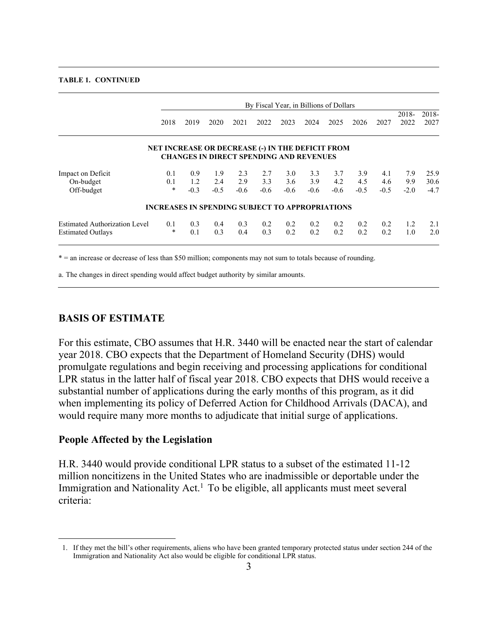#### **TABLE 1. CONTINUED**

|                                      | By Fiscal Year, in Billions of Dollars                 |            |                                                |            |            |            |            |            |            |            |               |               |
|--------------------------------------|--------------------------------------------------------|------------|------------------------------------------------|------------|------------|------------|------------|------------|------------|------------|---------------|---------------|
|                                      | 2018                                                   | 2019       | 2020                                           | 2021       | 2022       | 2023       | 2024       | 2025       | 2026       | 2027       | 2018-<br>2022 | 2018-<br>2027 |
|                                      | NET INCREASE OR DECREASE (-) IN THE DEFICIT FROM       |            | <b>CHANGES IN DIRECT SPENDING AND REVENUES</b> |            |            |            |            |            |            |            |               |               |
| Impact on Deficit<br>On-budget       | 0.1<br>0.1                                             | 0.9<br>1.2 | 1.9<br>2.4                                     | 2.3<br>2.9 | 2.7<br>3.3 | 3.0<br>3.6 | 3.3<br>3.9 | 3.7<br>4.2 | 3.9<br>4.5 | 4.1<br>4.6 | 7.9<br>9.9    | 25.9<br>30.6  |
| Off-budget                           | $\star$                                                | $-0.3$     | $-0.5$                                         | $-0.6$     | $-0.6$     | $-0.6$     | $-0.6$     | $-0.6$     | $-0.5$     | $-0.5$     | $-2.0$        | $-4.7$        |
|                                      | <b>INCREASES IN SPENDING SUBJECT TO APPROPRIATIONS</b> |            |                                                |            |            |            |            |            |            |            |               |               |
| <b>Estimated Authorization Level</b> | 0.1                                                    | 0.3        | 0.4                                            | 0.3        | 0.2        | 0.2        | 0.2        | 0.2        | 0.2        | 0.2        | 1.2           | 2.1           |
| <b>Estimated Outlays</b>             | $\ast$                                                 | 0.1        | 0.3                                            | 0.4        | 0.3        | 0.2        | 0.2        | 0.2        | 0.2        | 0.2        | 1.0           | 2.0           |

\* = an increase or decrease of less than \$50 million; components may not sum to totals because of rounding.

a. The changes in direct spending would affect budget authority by similar amounts.

### **BASIS OF ESTIMATE**

For this estimate, CBO assumes that H.R. 3440 will be enacted near the start of calendar year 2018. CBO expects that the Department of Homeland Security (DHS) would promulgate regulations and begin receiving and processing applications for conditional LPR status in the latter half of fiscal year 2018. CBO expects that DHS would receive a substantial number of applications during the early months of this program, as it did when implementing its policy of Deferred Action for Childhood Arrivals (DACA), and would require many more months to adjudicate that initial surge of applications.

### **People Affected by the Legislation**

 $\overline{a}$ 

H.R. 3440 would provide conditional LPR status to a subset of the estimated 11-12 million noncitizens in the United States who are inadmissible or deportable under the Immigration and Nationality Act.<sup>1</sup> To be eligible, all applicants must meet several criteria:

<sup>1.</sup> If they met the bill's other requirements, aliens who have been granted temporary protected status under section 244 of the Immigration and Nationality Act also would be eligible for conditional LPR status.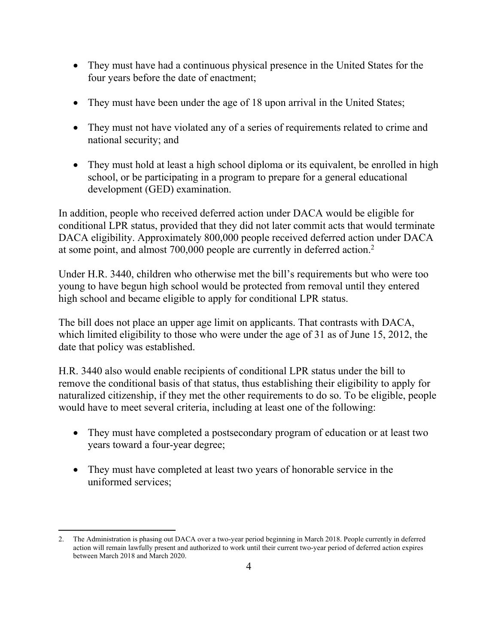- They must have had a continuous physical presence in the United States for the four years before the date of enactment;
- They must have been under the age of 18 upon arrival in the United States;
- They must not have violated any of a series of requirements related to crime and national security; and
- They must hold at least a high school diploma or its equivalent, be enrolled in high school, or be participating in a program to prepare for a general educational development (GED) examination.

In addition, people who received deferred action under DACA would be eligible for conditional LPR status, provided that they did not later commit acts that would terminate DACA eligibility. Approximately 800,000 people received deferred action under DACA at some point, and almost 700,000 people are currently in deferred action.2

Under H.R. 3440, children who otherwise met the bill's requirements but who were too young to have begun high school would be protected from removal until they entered high school and became eligible to apply for conditional LPR status.

The bill does not place an upper age limit on applicants. That contrasts with DACA, which limited eligibility to those who were under the age of 31 as of June 15, 2012, the date that policy was established.

H.R. 3440 also would enable recipients of conditional LPR status under the bill to remove the conditional basis of that status, thus establishing their eligibility to apply for naturalized citizenship, if they met the other requirements to do so. To be eligible, people would have to meet several criteria, including at least one of the following:

- They must have completed a postsecondary program of education or at least two years toward a four-year degree;
- They must have completed at least two years of honorable service in the uniformed services;

 $\overline{a}$ 2. The Administration is phasing out DACA over a two-year period beginning in March 2018. People currently in deferred action will remain lawfully present and authorized to work until their current two-year period of deferred action expires between March 2018 and March 2020.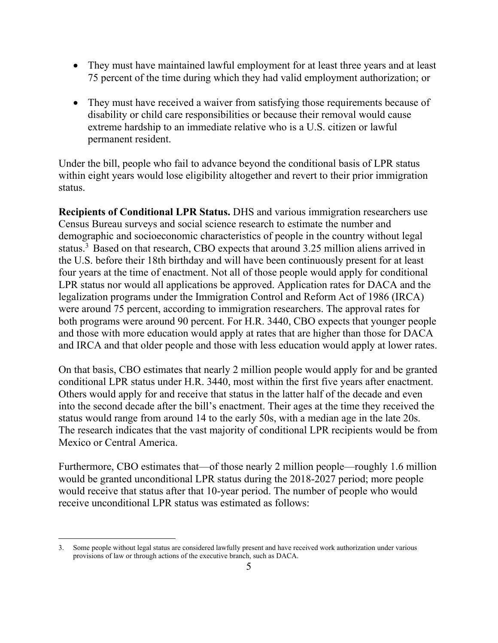- They must have maintained lawful employment for at least three years and at least 75 percent of the time during which they had valid employment authorization; or
- They must have received a waiver from satisfying those requirements because of disability or child care responsibilities or because their removal would cause extreme hardship to an immediate relative who is a U.S. citizen or lawful permanent resident.

Under the bill, people who fail to advance beyond the conditional basis of LPR status within eight years would lose eligibility altogether and revert to their prior immigration status.

**Recipients of Conditional LPR Status.** DHS and various immigration researchers use Census Bureau surveys and social science research to estimate the number and demographic and socioeconomic characteristics of people in the country without legal status.<sup>3</sup> Based on that research, CBO expects that around  $3.25$  million aliens arrived in the U.S. before their 18th birthday and will have been continuously present for at least four years at the time of enactment. Not all of those people would apply for conditional LPR status nor would all applications be approved. Application rates for DACA and the legalization programs under the Immigration Control and Reform Act of 1986 (IRCA) were around 75 percent, according to immigration researchers. The approval rates for both programs were around 90 percent. For H.R. 3440, CBO expects that younger people and those with more education would apply at rates that are higher than those for DACA and IRCA and that older people and those with less education would apply at lower rates.

On that basis, CBO estimates that nearly 2 million people would apply for and be granted conditional LPR status under H.R. 3440, most within the first five years after enactment. Others would apply for and receive that status in the latter half of the decade and even into the second decade after the bill's enactment. Their ages at the time they received the status would range from around 14 to the early 50s, with a median age in the late 20s. The research indicates that the vast majority of conditional LPR recipients would be from Mexico or Central America.

Furthermore, CBO estimates that—of those nearly 2 million people—roughly 1.6 million would be granted unconditional LPR status during the 2018-2027 period; more people would receive that status after that 10-year period. The number of people who would receive unconditional LPR status was estimated as follows:

 3. Some people without legal status are considered lawfully present and have received work authorization under various provisions of law or through actions of the executive branch, such as DACA.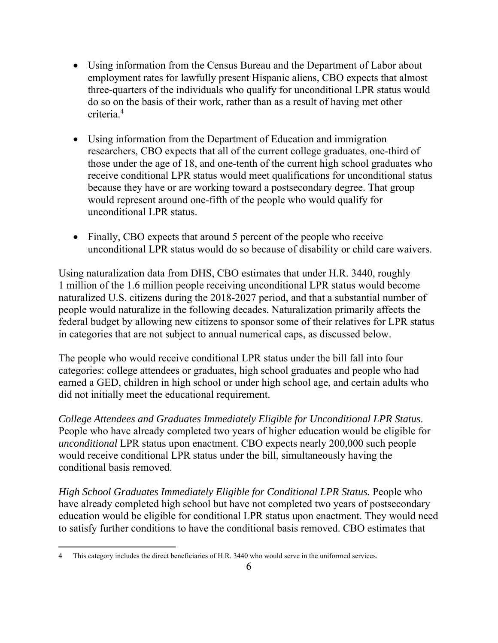- Using information from the Census Bureau and the Department of Labor about employment rates for lawfully present Hispanic aliens, CBO expects that almost three-quarters of the individuals who qualify for unconditional LPR status would do so on the basis of their work, rather than as a result of having met other criteria.4
- Using information from the Department of Education and immigration researchers, CBO expects that all of the current college graduates, one-third of those under the age of 18, and one-tenth of the current high school graduates who receive conditional LPR status would meet qualifications for unconditional status because they have or are working toward a postsecondary degree. That group would represent around one-fifth of the people who would qualify for unconditional LPR status.
- Finally, CBO expects that around 5 percent of the people who receive unconditional LPR status would do so because of disability or child care waivers.

Using naturalization data from DHS, CBO estimates that under H.R. 3440, roughly 1 million of the 1.6 million people receiving unconditional LPR status would become naturalized U.S. citizens during the 2018-2027 period, and that a substantial number of people would naturalize in the following decades. Naturalization primarily affects the federal budget by allowing new citizens to sponsor some of their relatives for LPR status in categories that are not subject to annual numerical caps, as discussed below.

The people who would receive conditional LPR status under the bill fall into four categories: college attendees or graduates, high school graduates and people who had earned a GED, children in high school or under high school age, and certain adults who did not initially meet the educational requirement.

*College Attendees and Graduates Immediately Eligible for Unconditional LPR Status*. People who have already completed two years of higher education would be eligible for *unconditional* LPR status upon enactment. CBO expects nearly 200,000 such people would receive conditional LPR status under the bill, simultaneously having the conditional basis removed.

*High School Graduates Immediately Eligible for Conditional LPR Status.* People who have already completed high school but have not completed two years of postsecondary education would be eligible for conditional LPR status upon enactment. They would need to satisfy further conditions to have the conditional basis removed. CBO estimates that

 $\overline{a}$ 4 This category includes the direct beneficiaries of H.R. 3440 who would serve in the uniformed services.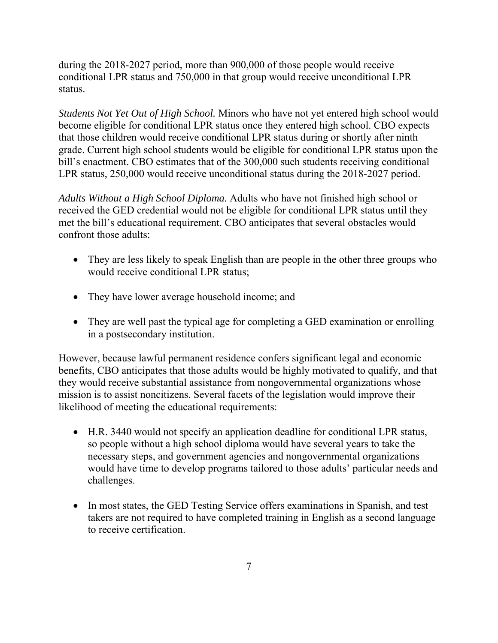during the 2018-2027 period, more than 900,000 of those people would receive conditional LPR status and 750,000 in that group would receive unconditional LPR status.

*Students Not Yet Out of High School.* Minors who have not yet entered high school would become eligible for conditional LPR status once they entered high school. CBO expects that those children would receive conditional LPR status during or shortly after ninth grade. Current high school students would be eligible for conditional LPR status upon the bill's enactment. CBO estimates that of the 300,000 such students receiving conditional LPR status, 250,000 would receive unconditional status during the 2018-2027 period.

*Adults Without a High School Diploma.* Adults who have not finished high school or received the GED credential would not be eligible for conditional LPR status until they met the bill's educational requirement. CBO anticipates that several obstacles would confront those adults:

- They are less likely to speak English than are people in the other three groups who would receive conditional LPR status;
- They have lower average household income; and
- They are well past the typical age for completing a GED examination or enrolling in a postsecondary institution.

However, because lawful permanent residence confers significant legal and economic benefits, CBO anticipates that those adults would be highly motivated to qualify, and that they would receive substantial assistance from nongovernmental organizations whose mission is to assist noncitizens. Several facets of the legislation would improve their likelihood of meeting the educational requirements:

- H.R. 3440 would not specify an application deadline for conditional LPR status, so people without a high school diploma would have several years to take the necessary steps, and government agencies and nongovernmental organizations would have time to develop programs tailored to those adults' particular needs and challenges.
- In most states, the GED Testing Service offers examinations in Spanish, and test takers are not required to have completed training in English as a second language to receive certification.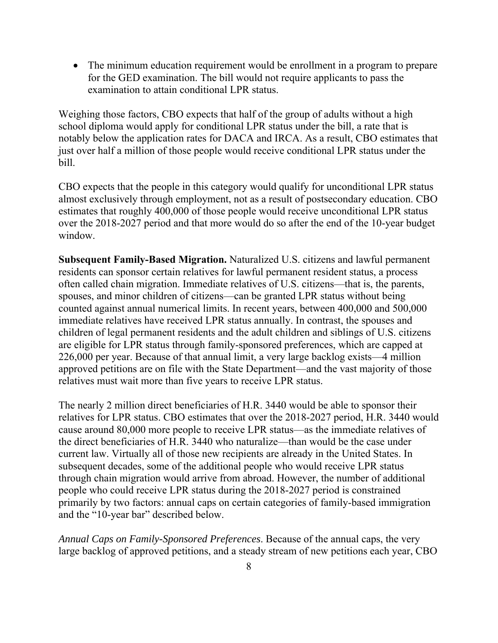The minimum education requirement would be enrollment in a program to prepare for the GED examination. The bill would not require applicants to pass the examination to attain conditional LPR status.

Weighing those factors, CBO expects that half of the group of adults without a high school diploma would apply for conditional LPR status under the bill, a rate that is notably below the application rates for DACA and IRCA. As a result, CBO estimates that just over half a million of those people would receive conditional LPR status under the bill.

CBO expects that the people in this category would qualify for unconditional LPR status almost exclusively through employment, not as a result of postsecondary education. CBO estimates that roughly 400,000 of those people would receive unconditional LPR status over the 2018-2027 period and that more would do so after the end of the 10-year budget window.

**Subsequent Family-Based Migration.** Naturalized U.S. citizens and lawful permanent residents can sponsor certain relatives for lawful permanent resident status, a process often called chain migration. Immediate relatives of U.S. citizens—that is, the parents, spouses, and minor children of citizens—can be granted LPR status without being counted against annual numerical limits. In recent years, between 400,000 and 500,000 immediate relatives have received LPR status annually. In contrast, the spouses and children of legal permanent residents and the adult children and siblings of U.S. citizens are eligible for LPR status through family-sponsored preferences, which are capped at 226,000 per year. Because of that annual limit, a very large backlog exists—4 million approved petitions are on file with the State Department—and the vast majority of those relatives must wait more than five years to receive LPR status.

The nearly 2 million direct beneficiaries of H.R. 3440 would be able to sponsor their relatives for LPR status. CBO estimates that over the 2018-2027 period, H.R. 3440 would cause around 80,000 more people to receive LPR status—as the immediate relatives of the direct beneficiaries of H.R. 3440 who naturalize—than would be the case under current law. Virtually all of those new recipients are already in the United States. In subsequent decades, some of the additional people who would receive LPR status through chain migration would arrive from abroad. However, the number of additional people who could receive LPR status during the 2018-2027 period is constrained primarily by two factors: annual caps on certain categories of family-based immigration and the "10-year bar" described below.

*Annual Caps on Family-Sponsored Preferences*. Because of the annual caps, the very large backlog of approved petitions, and a steady stream of new petitions each year, CBO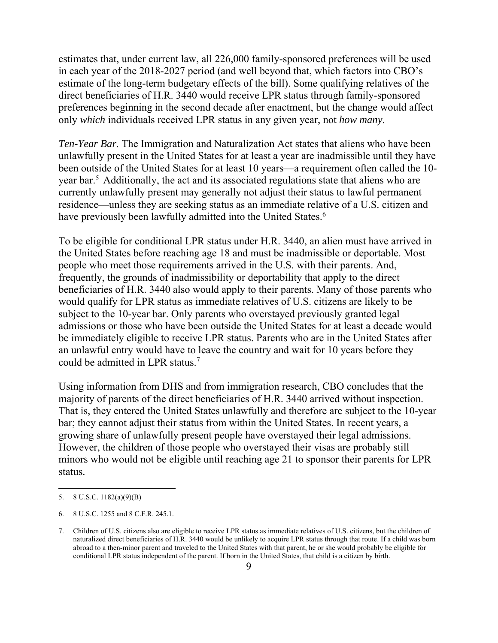estimates that, under current law, all 226,000 family-sponsored preferences will be used in each year of the 2018-2027 period (and well beyond that, which factors into CBO's estimate of the long-term budgetary effects of the bill). Some qualifying relatives of the direct beneficiaries of H.R. 3440 would receive LPR status through family-sponsored preferences beginning in the second decade after enactment, but the change would affect only *which* individuals received LPR status in any given year, not *how many*.

*Ten-Year Bar.* The Immigration and Naturalization Act states that aliens who have been unlawfully present in the United States for at least a year are inadmissible until they have been outside of the United States for at least 10 years—a requirement often called the 10 year bar.<sup>5</sup> Additionally, the act and its associated regulations state that aliens who are currently unlawfully present may generally not adjust their status to lawful permanent residence—unless they are seeking status as an immediate relative of a U.S. citizen and have previously been lawfully admitted into the United States.<sup>6</sup>

To be eligible for conditional LPR status under H.R. 3440, an alien must have arrived in the United States before reaching age 18 and must be inadmissible or deportable. Most people who meet those requirements arrived in the U.S. with their parents. And, frequently, the grounds of inadmissibility or deportability that apply to the direct beneficiaries of H.R. 3440 also would apply to their parents. Many of those parents who would qualify for LPR status as immediate relatives of U.S. citizens are likely to be subject to the 10-year bar. Only parents who overstayed previously granted legal admissions or those who have been outside the United States for at least a decade would be immediately eligible to receive LPR status. Parents who are in the United States after an unlawful entry would have to leave the country and wait for 10 years before they could be admitted in LPR status.<sup>7</sup>

Using information from DHS and from immigration research, CBO concludes that the majority of parents of the direct beneficiaries of H.R. 3440 arrived without inspection. That is, they entered the United States unlawfully and therefore are subject to the 10-year bar; they cannot adjust their status from within the United States. In recent years, a growing share of unlawfully present people have overstayed their legal admissions. However, the children of those people who overstayed their visas are probably still minors who would not be eligible until reaching age 21 to sponsor their parents for LPR status.

 $\overline{a}$ 

<sup>5.</sup> 8 U.S.C. 1182(a)(9)(B)

<sup>6.</sup> 8 U.S.C. 1255 and 8 C.F.R. 245.1.

<sup>7.</sup> Children of U.S. citizens also are eligible to receive LPR status as immediate relatives of U.S. citizens, but the children of naturalized direct beneficiaries of H.R. 3440 would be unlikely to acquire LPR status through that route. If a child was born abroad to a then-minor parent and traveled to the United States with that parent, he or she would probably be eligible for conditional LPR status independent of the parent. If born in the United States, that child is a citizen by birth.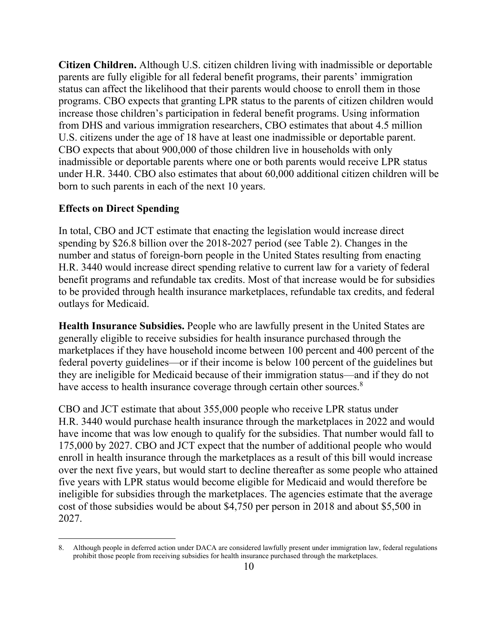**Citizen Children.** Although U.S. citizen children living with inadmissible or deportable parents are fully eligible for all federal benefit programs, their parents' immigration status can affect the likelihood that their parents would choose to enroll them in those programs. CBO expects that granting LPR status to the parents of citizen children would increase those children's participation in federal benefit programs. Using information from DHS and various immigration researchers, CBO estimates that about 4.5 million U.S. citizens under the age of 18 have at least one inadmissible or deportable parent. CBO expects that about 900,000 of those children live in households with only inadmissible or deportable parents where one or both parents would receive LPR status under H.R. 3440. CBO also estimates that about 60,000 additional citizen children will be born to such parents in each of the next 10 years.

#### **Effects on Direct Spending**

In total, CBO and JCT estimate that enacting the legislation would increase direct spending by \$26.8 billion over the 2018-2027 period (see Table 2). Changes in the number and status of foreign-born people in the United States resulting from enacting H.R. 3440 would increase direct spending relative to current law for a variety of federal benefit programs and refundable tax credits. Most of that increase would be for subsidies to be provided through health insurance marketplaces, refundable tax credits, and federal outlays for Medicaid.

**Health Insurance Subsidies.** People who are lawfully present in the United States are generally eligible to receive subsidies for health insurance purchased through the marketplaces if they have household income between 100 percent and 400 percent of the federal poverty guidelines—or if their income is below 100 percent of the guidelines but they are ineligible for Medicaid because of their immigration status—and if they do not have access to health insurance coverage through certain other sources.<sup>8</sup>

CBO and JCT estimate that about 355,000 people who receive LPR status under H.R. 3440 would purchase health insurance through the marketplaces in 2022 and would have income that was low enough to qualify for the subsidies. That number would fall to 175,000 by 2027. CBO and JCT expect that the number of additional people who would enroll in health insurance through the marketplaces as a result of this bill would increase over the next five years, but would start to decline thereafter as some people who attained five years with LPR status would become eligible for Medicaid and would therefore be ineligible for subsidies through the marketplaces. The agencies estimate that the average cost of those subsidies would be about \$4,750 per person in 2018 and about \$5,500 in 2027.

<sup>8.</sup> Although people in deferred action under DACA are considered lawfully present under immigration law, federal regulations prohibit those people from receiving subsidies for health insurance purchased through the marketplaces.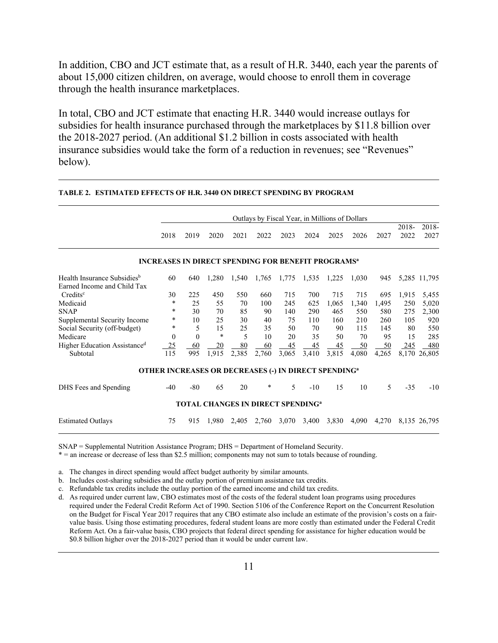In addition, CBO and JCT estimate that, as a result of H.R. 3440, each year the parents of about 15,000 citizen children, on average, would choose to enroll them in coverage through the health insurance marketplaces.

In total, CBO and JCT estimate that enacting H.R. 3440 would increase outlays for subsidies for health insurance purchased through the marketplaces by \$11.8 billion over the 2018-2027 period. (An additional \$1.2 billion in costs associated with health insurance subsidies would take the form of a reduction in revenues; see "Revenues" below).

|                                          | Outlays by Fiscal Year, in Millions of Dollars                         |          |                                                     |       |        |       |       |       |       |       |               |               |
|------------------------------------------|------------------------------------------------------------------------|----------|-----------------------------------------------------|-------|--------|-------|-------|-------|-------|-------|---------------|---------------|
|                                          | 2018                                                                   | 2019     | 2020                                                | 2021  | 2022   | 2023  | 2024  | 2025  | 2026  | 2027  | 2018-<br>2022 | 2018-<br>2027 |
|                                          | <b>INCREASES IN DIRECT SPENDING FOR BENEFIT PROGRAMS<sup>a</sup></b>   |          |                                                     |       |        |       |       |       |       |       |               |               |
| Health Insurance Subsidies <sup>b</sup>  | 60                                                                     | 640      | 1,280                                               | 1,540 | 1,765  | 1,775 | 1,535 | 1,225 | 1,030 | 945   |               | 5,285 11,795  |
| Earned Income and Child Tax              |                                                                        |          |                                                     |       |        |       |       |       |       |       |               |               |
| $Credits^c$                              | 30                                                                     | 225      | 450                                                 | 550   | 660    | 715   | 700   | 715   | 715   | 695   | 1,915         | 5,455         |
| Medicaid                                 | *                                                                      | 25       | 55                                                  | 70    | 100    | 245   | 625   | 1,065 | 1,340 | 1,495 | 250           | 5,020         |
| <b>SNAP</b>                              | $\ast$                                                                 | 30       | 70                                                  | 85    | 90     | 140   | 290   | 465   | 550   | 580   | 275           | 2,300         |
| Supplemental Security Income             | $\ast$                                                                 | 10       | 25                                                  | 30    | 40     | 75    | 110   | 160   | 210   | 260   | 105           | 920           |
| Social Security (off-budget)             | *                                                                      | 5        | 15                                                  | 25    | 35     | 50    | 70    | 90    | 115   | 145   | 80            | 550           |
| Medicare                                 | 0                                                                      | $\Omega$ | $\ast$                                              | 5     | 10     | 20    | 35    | 50    | 70    | 95    | 15            | 285           |
| Higher Education Assistance <sup>d</sup> | 25                                                                     | 60       | 20                                                  | 80    | 60     | 45    | 45    | 45    | 50    | 50    | <u>245</u>    | 480           |
| Subtotal                                 | 115                                                                    | 995      | 1,915                                               | 2,385 | 2,760  | 3,065 | 3,410 | 3,815 | 4,080 | 4,265 | 8,170         | 26,805        |
|                                          | <b>OTHER INCREASES OR DECREASES (-) IN DIRECT SPENDING<sup>a</sup></b> |          |                                                     |       |        |       |       |       |       |       |               |               |
| DHS Fees and Spending                    | $-40$                                                                  | $-80$    | 65                                                  | 20    | $\ast$ | 5     | $-10$ | 15    | 10    | 5     | $-35$         | $-10$         |
|                                          |                                                                        |          | <b>TOTAL CHANGES IN DIRECT SPENDING<sup>a</sup></b> |       |        |       |       |       |       |       |               |               |
| <b>Estimated Outlays</b>                 | 75                                                                     | 915      | 1,980                                               | 2,405 | 2,760  | 3,070 | 3,400 | 3,830 | 4,090 | 4,270 |               | 8,135 26,795  |

#### **TABLE 2. ESTIMATED EFFECTS OF H.R. 3440 ON DIRECT SPENDING BY PROGRAM**

SNAP = Supplemental Nutrition Assistance Program; DHS = Department of Homeland Security.

\* = an increase or decrease of less than \$2.5 million; components may not sum to totals because of rounding.

a. The changes in direct spending would affect budget authority by similar amounts.

b. Includes cost-sharing subsidies and the outlay portion of premium assistance tax credits.

c. Refundable tax credits include the outlay portion of the earned income and child tax credits.

d. As required under current law, CBO estimates most of the costs of the federal student loan programs using procedures required under the Federal Credit Reform Act of 1990. Section 5106 of the Conference Report on the Concurrent Resolution on the Budget for Fiscal Year 2017 requires that any CBO estimate also include an estimate of the provision's costs on a fairvalue basis. Using those estimating procedures, federal student loans are more costly than estimated under the Federal Credit Reform Act. On a fair-value basis, CBO projects that federal direct spending for assistance for higher education would be \$0.8 billion higher over the 2018-2027 period than it would be under current law.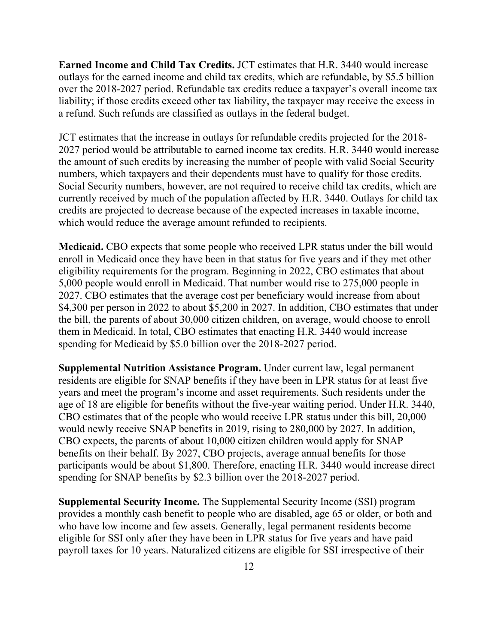**Earned Income and Child Tax Credits.** JCT estimates that H.R. 3440 would increase outlays for the earned income and child tax credits, which are refundable, by \$5.5 billion over the 2018-2027 period. Refundable tax credits reduce a taxpayer's overall income tax liability; if those credits exceed other tax liability, the taxpayer may receive the excess in a refund. Such refunds are classified as outlays in the federal budget.

JCT estimates that the increase in outlays for refundable credits projected for the 2018- 2027 period would be attributable to earned income tax credits. H.R. 3440 would increase the amount of such credits by increasing the number of people with valid Social Security numbers, which taxpayers and their dependents must have to qualify for those credits. Social Security numbers, however, are not required to receive child tax credits, which are currently received by much of the population affected by H.R. 3440. Outlays for child tax credits are projected to decrease because of the expected increases in taxable income, which would reduce the average amount refunded to recipients.

**Medicaid.** CBO expects that some people who received LPR status under the bill would enroll in Medicaid once they have been in that status for five years and if they met other eligibility requirements for the program. Beginning in 2022, CBO estimates that about 5,000 people would enroll in Medicaid. That number would rise to 275,000 people in 2027. CBO estimates that the average cost per beneficiary would increase from about \$4,300 per person in 2022 to about \$5,200 in 2027. In addition, CBO estimates that under the bill, the parents of about 30,000 citizen children, on average, would choose to enroll them in Medicaid. In total, CBO estimates that enacting H.R. 3440 would increase spending for Medicaid by \$5.0 billion over the 2018-2027 period.

**Supplemental Nutrition Assistance Program.** Under current law, legal permanent residents are eligible for SNAP benefits if they have been in LPR status for at least five years and meet the program's income and asset requirements. Such residents under the age of 18 are eligible for benefits without the five-year waiting period. Under H.R. 3440, CBO estimates that of the people who would receive LPR status under this bill, 20,000 would newly receive SNAP benefits in 2019, rising to 280,000 by 2027. In addition, CBO expects, the parents of about 10,000 citizen children would apply for SNAP benefits on their behalf. By 2027, CBO projects, average annual benefits for those participants would be about \$1,800. Therefore, enacting H.R. 3440 would increase direct spending for SNAP benefits by \$2.3 billion over the 2018-2027 period.

**Supplemental Security Income.** The Supplemental Security Income (SSI) program provides a monthly cash benefit to people who are disabled, age 65 or older, or both and who have low income and few assets. Generally, legal permanent residents become eligible for SSI only after they have been in LPR status for five years and have paid payroll taxes for 10 years. Naturalized citizens are eligible for SSI irrespective of their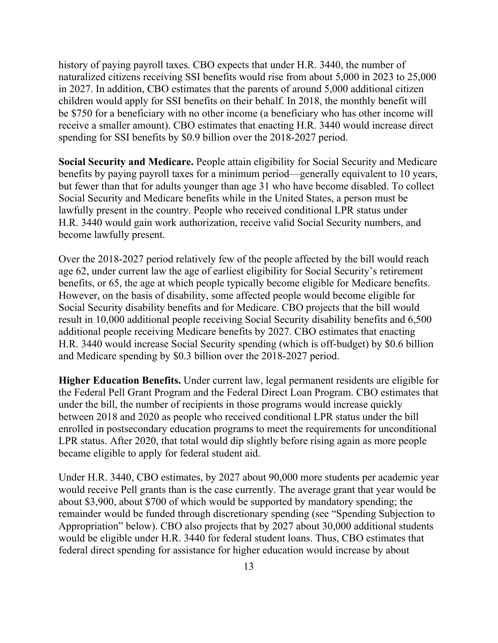history of paying payroll taxes. CBO expects that under H.R. 3440, the number of naturalized citizens receiving SSI benefits would rise from about 5,000 in 2023 to 25,000 in 2027. In addition, CBO estimates that the parents of around 5,000 additional citizen children would apply for SSI benefits on their behalf. In 2018, the monthly benefit will be \$750 for a beneficiary with no other income (a beneficiary who has other income will receive a smaller amount). CBO estimates that enacting H.R. 3440 would increase direct spending for SSI benefits by \$0.9 billion over the 2018-2027 period.

**Social Security and Medicare.** People attain eligibility for Social Security and Medicare benefits by paying payroll taxes for a minimum period—generally equivalent to 10 years, but fewer than that for adults younger than age 31 who have become disabled. To collect Social Security and Medicare benefits while in the United States, a person must be lawfully present in the country. People who received conditional LPR status under H.R. 3440 would gain work authorization, receive valid Social Security numbers, and become lawfully present.

Over the 2018-2027 period relatively few of the people affected by the bill would reach age 62, under current law the age of earliest eligibility for Social Security's retirement benefits, or 65, the age at which people typically become eligible for Medicare benefits. However, on the basis of disability, some affected people would become eligible for Social Security disability benefits and for Medicare. CBO projects that the bill would result in 10,000 additional people receiving Social Security disability benefits and 6,500 additional people receiving Medicare benefits by 2027. CBO estimates that enacting H.R. 3440 would increase Social Security spending (which is off-budget) by \$0.6 billion and Medicare spending by \$0.3 billion over the 2018-2027 period.

**Higher Education Benefits.** Under current law, legal permanent residents are eligible for the Federal Pell Grant Program and the Federal Direct Loan Program. CBO estimates that under the bill, the number of recipients in those programs would increase quickly between 2018 and 2020 as people who received conditional LPR status under the bill enrolled in postsecondary education programs to meet the requirements for unconditional LPR status. After 2020, that total would dip slightly before rising again as more people became eligible to apply for federal student aid.

Under H.R. 3440, CBO estimates, by 2027 about 90,000 more students per academic year would receive Pell grants than is the case currently. The average grant that year would be about \$3,900, about \$700 of which would be supported by mandatory spending; the remainder would be funded through discretionary spending (see "Spending Subjection to Appropriation" below). CBO also projects that by 2027 about 30,000 additional students would be eligible under H.R. 3440 for federal student loans. Thus, CBO estimates that federal direct spending for assistance for higher education would increase by about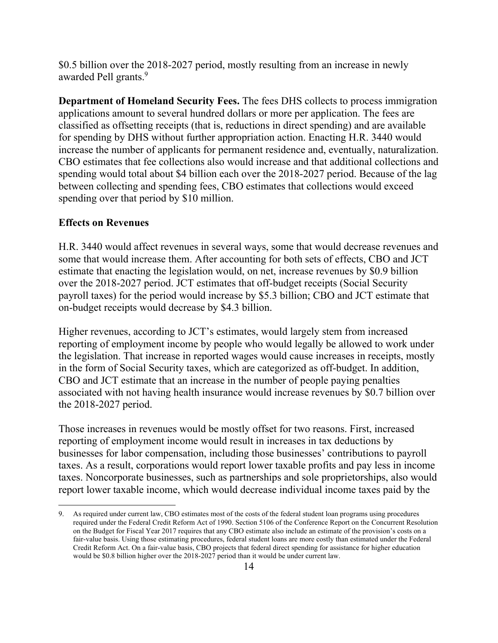\$0.5 billion over the 2018-2027 period, mostly resulting from an increase in newly awarded Pell grants.<sup>9</sup>

**Department of Homeland Security Fees.** The fees DHS collects to process immigration applications amount to several hundred dollars or more per application. The fees are classified as offsetting receipts (that is, reductions in direct spending) and are available for spending by DHS without further appropriation action. Enacting H.R. 3440 would increase the number of applicants for permanent residence and, eventually, naturalization. CBO estimates that fee collections also would increase and that additional collections and spending would total about \$4 billion each over the 2018-2027 period. Because of the lag between collecting and spending fees, CBO estimates that collections would exceed spending over that period by \$10 million.

## **Effects on Revenues**

 $\overline{a}$ 

H.R. 3440 would affect revenues in several ways, some that would decrease revenues and some that would increase them. After accounting for both sets of effects, CBO and JCT estimate that enacting the legislation would, on net, increase revenues by \$0.9 billion over the 2018-2027 period. JCT estimates that off-budget receipts (Social Security payroll taxes) for the period would increase by \$5.3 billion; CBO and JCT estimate that on-budget receipts would decrease by \$4.3 billion.

Higher revenues, according to JCT's estimates, would largely stem from increased reporting of employment income by people who would legally be allowed to work under the legislation. That increase in reported wages would cause increases in receipts, mostly in the form of Social Security taxes, which are categorized as off-budget. In addition, CBO and JCT estimate that an increase in the number of people paying penalties associated with not having health insurance would increase revenues by \$0.7 billion over the 2018-2027 period.

Those increases in revenues would be mostly offset for two reasons. First, increased reporting of employment income would result in increases in tax deductions by businesses for labor compensation, including those businesses' contributions to payroll taxes. As a result, corporations would report lower taxable profits and pay less in income taxes. Noncorporate businesses, such as partnerships and sole proprietorships, also would report lower taxable income, which would decrease individual income taxes paid by the

<sup>9.</sup> As required under current law, CBO estimates most of the costs of the federal student loan programs using procedures required under the Federal Credit Reform Act of 1990. Section 5106 of the Conference Report on the Concurrent Resolution on the Budget for Fiscal Year 2017 requires that any CBO estimate also include an estimate of the provision's costs on a fair-value basis. Using those estimating procedures, federal student loans are more costly than estimated under the Federal Credit Reform Act. On a fair-value basis, CBO projects that federal direct spending for assistance for higher education would be \$0.8 billion higher over the 2018-2027 period than it would be under current law.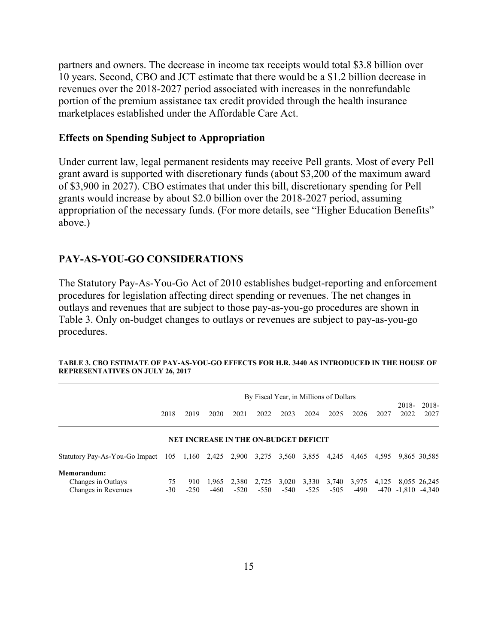partners and owners. The decrease in income tax receipts would total \$3.8 billion over 10 years. Second, CBO and JCT estimate that there would be a \$1.2 billion decrease in revenues over the 2018-2027 period associated with increases in the nonrefundable portion of the premium assistance tax credit provided through the health insurance marketplaces established under the Affordable Care Act.

#### **Effects on Spending Subject to Appropriation**

Under current law, legal permanent residents may receive Pell grants. Most of every Pell grant award is supported with discretionary funds (about \$3,200 of the maximum award of \$3,900 in 2027). CBO estimates that under this bill, discretionary spending for Pell grants would increase by about \$2.0 billion over the 2018-2027 period, assuming appropriation of the necessary funds. (For more details, see "Higher Education Benefits" above.)

### **PAY-AS-YOU-GO CONSIDERATIONS**

The Statutory Pay-As-You-Go Act of 2010 establishes budget-reporting and enforcement procedures for legislation affecting direct spending or revenues. The net changes in outlays and revenues that are subject to those pay-as-you-go procedures are shown in Table 3. Only on-budget changes to outlays or revenues are subject to pay-as-you-go procedures.

|                                                                  | By Fiscal Year, in Millions of Dollars |               |                                              |                 |                 |                 |                 |                 |                 |       |                |                          |
|------------------------------------------------------------------|----------------------------------------|---------------|----------------------------------------------|-----------------|-----------------|-----------------|-----------------|-----------------|-----------------|-------|----------------|--------------------------|
|                                                                  | 2018                                   | 2019          | 2020                                         | 2021            | 2022            | 2023            | 2024            | 2025            | 2026            | 2027  | 2018-<br>2022  | 2018-<br>2027            |
|                                                                  |                                        |               | <b>NET INCREASE IN THE ON-BUDGET DEFICIT</b> |                 |                 |                 |                 |                 |                 |       |                |                          |
| Statutory Pay-As-You-Go Impact 105 1,160 2,425 2,900 3,275 3,560 |                                        |               |                                              |                 |                 |                 | 3,855 4,245     |                 | 4,465           | 4,595 |                | 9,865 30,585             |
| Memorandum:<br>Changes in Outlays<br>Changes in Revenues         | 75<br>$-30$                            | 910<br>$-250$ | 1,965<br>-460                                | 2,380<br>$-520$ | 2,725<br>$-550$ | 3,020<br>$-540$ | 3,330<br>$-525$ | 3,740<br>$-505$ | 3,975<br>$-490$ | 4,125 | $-470 - 1.810$ | 8,055 26,245<br>$-4.340$ |

**TABLE 3. CBO ESTIMATE OF PAY-AS-YOU-GO EFFECTS FOR H.R. 3440 AS INTRODUCED IN THE HOUSE OF REPRESENTATIVES ON JULY 26, 2017**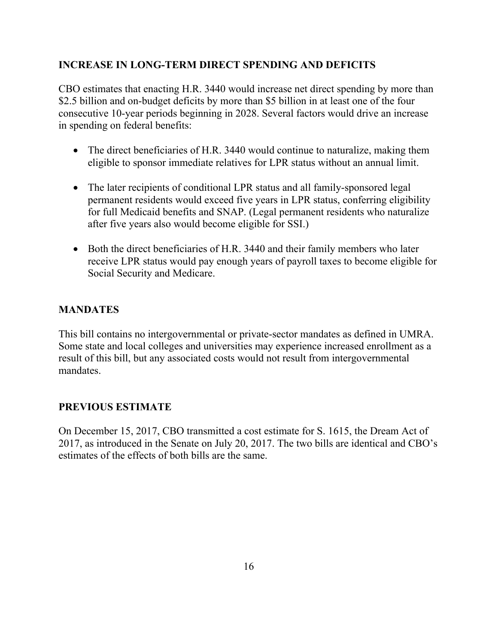## **INCREASE IN LONG-TERM DIRECT SPENDING AND DEFICITS**

CBO estimates that enacting H.R. 3440 would increase net direct spending by more than \$2.5 billion and on-budget deficits by more than \$5 billion in at least one of the four consecutive 10-year periods beginning in 2028. Several factors would drive an increase in spending on federal benefits:

- The direct beneficiaries of H.R. 3440 would continue to naturalize, making them eligible to sponsor immediate relatives for LPR status without an annual limit.
- The later recipients of conditional LPR status and all family-sponsored legal permanent residents would exceed five years in LPR status, conferring eligibility for full Medicaid benefits and SNAP. (Legal permanent residents who naturalize after five years also would become eligible for SSI.)
- Both the direct beneficiaries of H.R. 3440 and their family members who later receive LPR status would pay enough years of payroll taxes to become eligible for Social Security and Medicare.

## **MANDATES**

This bill contains no intergovernmental or private-sector mandates as defined in UMRA. Some state and local colleges and universities may experience increased enrollment as a result of this bill, but any associated costs would not result from intergovernmental mandates.

## **PREVIOUS ESTIMATE**

On December 15, 2017, CBO transmitted a cost estimate for S. 1615, the Dream Act of 2017, as introduced in the Senate on July 20, 2017. The two bills are identical and CBO's estimates of the effects of both bills are the same.